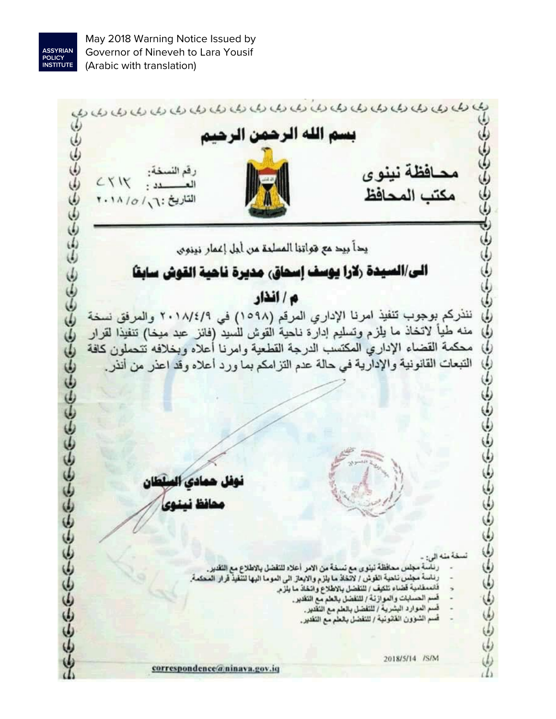

May 2018 Warning Notice Issued by Governor of Nineveh to Lara Yousif (Arabic with translation)